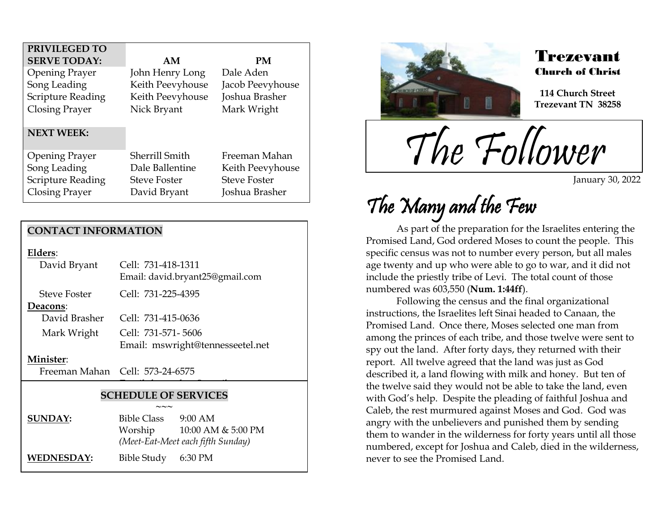| PRIVILEGED TO            |                     |                     |
|--------------------------|---------------------|---------------------|
| <b>SERVE TODAY:</b>      | AM                  | PM                  |
| <b>Opening Prayer</b>    | John Henry Long     | Dale Aden           |
| Song Leading             | Keith Peevyhouse    | Jacob Peevyhouse    |
| Scripture Reading        | Keith Peevyhouse    | Joshua Brasher      |
| <b>Closing Prayer</b>    | Nick Bryant         | Mark Wright         |
|                          |                     |                     |
| <b>NEXT WEEK:</b>        |                     |                     |
|                          |                     |                     |
| <b>Opening Prayer</b>    | Sherrill Smith      | Freeman Mahan       |
| Song Leading             | Dale Ballentine     | Keith Peevyhouse    |
| <b>Scripture Reading</b> | <b>Steve Foster</b> | <b>Steve Foster</b> |
| Closing Prayer           | David Bryant        | Joshua Brasher      |

### **CONTACT INFORMATION**

**Elders**:

| David Bryant        | Cell: 731-418-1311<br>Email: david.bryant25@gmail.com |
|---------------------|-------------------------------------------------------|
| <b>Steve Foster</b> | Cell: 731-225-4395                                    |
| Deacons:            |                                                       |
| David Brasher       | Cell: 731-415-0636                                    |
| Mark Wright         | Cell: 731-571-5606                                    |
|                     | Email: mswright@tennesseetel.net                      |
|                     |                                                       |

#### **Minister**:

Freeman Mahan Cell: 573-24-6575

### **SCHEDULE OF SERVICES**

 $\overline{\phantom{a}}$ 

|                   | $\sim\sim\sim$     |                                   |  |
|-------------------|--------------------|-----------------------------------|--|
| <b>SUNDAY:</b>    | <b>Bible Class</b> | $9:00$ AM                         |  |
|                   | Worship            | 10:00 AM & 5:00 PM                |  |
|                   |                    | (Meet-Eat-Meet each fifth Sunday) |  |
| <b>WEDNESDAY:</b> | Bible Study        | 6:30 PM                           |  |



.<br>F

### Trezevant Church of Christ

**114 Church Street Trezevant TN 38258**

The Follower

January 30, 2022

# The Many and the Few

As part of the preparation for the Israelites entering the Promised Land, God ordered Moses to count the people. This specific census was not to number every person, but all males age twenty and up who were able to go to war, and it did not include the priestly tribe of Levi. The total count of those numbered was 603,550 (**Num. 1:44ff**).

Following the census and the final organizational instructions, the Israelites left Sinai headed to Canaan, the Promised Land. Once there, Moses selected one man from among the princes of each tribe, and those twelve were sent to spy out the land. After forty days, they returned with their report. All twelve agreed that the land was just as God described it, a land flowing with milk and honey. But ten of the twelve said they would not be able to take the land, even with God's help. Despite the pleading of faithful Joshua and Caleb, the rest murmured against Moses and God. God was angry with the unbelievers and punished them by sending them to wander in the wilderness for forty years until all those numbered, except for Joshua and Caleb, died in the wilderness, never to see the Promised Land.